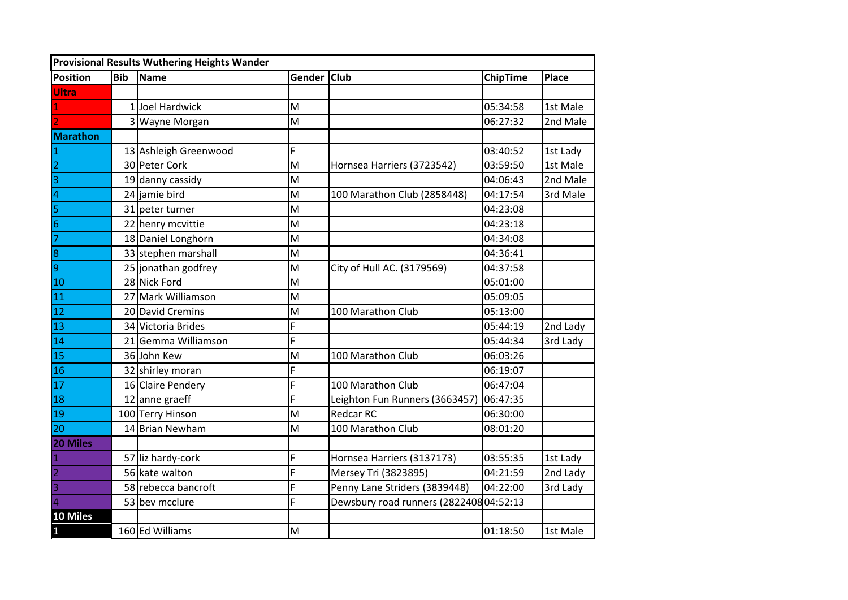| <b>Provisional Results Wuthering Heights Wander</b> |            |                       |             |                                         |                 |              |  |
|-----------------------------------------------------|------------|-----------------------|-------------|-----------------------------------------|-----------------|--------------|--|
| <b>Position</b>                                     | <b>Bib</b> | Name                  | Gender Club |                                         | <b>ChipTime</b> | <b>Place</b> |  |
| Ultra                                               |            |                       |             |                                         |                 |              |  |
|                                                     |            | 1 Joel Hardwick       | M           |                                         | 05:34:58        | 1st Male     |  |
|                                                     |            | 3 Wayne Morgan        | M           |                                         | 06:27:32        | 2nd Male     |  |
| <b>Marathon</b>                                     |            |                       |             |                                         |                 |              |  |
| $\mathbf{1}$                                        |            | 13 Ashleigh Greenwood | F           |                                         | 03:40:52        | 1st Lady     |  |
| $\frac{2}{3}$                                       |            | 30 Peter Cork         | M           | Hornsea Harriers (3723542)              | 03:59:50        | 1st Male     |  |
|                                                     |            | 19 danny cassidy      | M           |                                         | 04:06:43        | 2nd Male     |  |
| $\overline{4}$                                      |            | 24 jamie bird         | M           | 100 Marathon Club (2858448)             | 04:17:54        | 3rd Male     |  |
| 5                                                   |            | 31 peter turner       | M           |                                         | 04:23:08        |              |  |
| $\frac{6}{7}$                                       |            | 22 henry mcvittie     | M           |                                         | 04:23:18        |              |  |
|                                                     |            | 18 Daniel Longhorn    | M           |                                         | 04:34:08        |              |  |
| 8                                                   |            | 33 stephen marshall   | M           |                                         | 04:36:41        |              |  |
| $\overline{9}$                                      |            | 25 jonathan godfrey   | M           | City of Hull AC. (3179569)              | 04:37:58        |              |  |
| 10                                                  |            | 28 Nick Ford          | M           |                                         | 05:01:00        |              |  |
| 11                                                  |            | 27 Mark Williamson    | M           |                                         | 05:09:05        |              |  |
| $\boxed{12}$                                        |            | 20 David Cremins      | M           | 100 Marathon Club                       | 05:13:00        |              |  |
| 13                                                  |            | 34 Victoria Brides    | F           |                                         | 05:44:19        | 2nd Lady     |  |
| 14                                                  |            | 21 Gemma Williamson   | F           |                                         | 05:44:34        | 3rd Lady     |  |
| $15$                                                |            | 36 John Kew           | M           | 100 Marathon Club                       | 06:03:26        |              |  |
| 16                                                  |            | 32 shirley moran      | F           |                                         | 06:19:07        |              |  |
| $17\,$                                              |            | 16 Claire Pendery     | F           | 100 Marathon Club                       | 06:47:04        |              |  |
| 18                                                  |            | 12 anne graeff        | F           | Leighton Fun Runners (3663457)          | 06:47:35        |              |  |
| 19                                                  |            | 100 Terry Hinson      | M           | <b>Redcar RC</b>                        | 06:30:00        |              |  |
| 20                                                  |            | 14 Brian Newham       | M           | 100 Marathon Club                       | 08:01:20        |              |  |
| 20 Miles                                            |            |                       |             |                                         |                 |              |  |
| $\mathbf{1}$                                        |            | 57 liz hardy-cork     | F           | Hornsea Harriers (3137173)              | 03:55:35        | 1st Lady     |  |
| $\vert$ <sub>2</sub>                                |            | 56 kate walton        | F           | Mersey Tri (3823895)                    | 04:21:59        | 2nd Lady     |  |
| $\overline{3}$                                      |            | 58 rebecca bancroft   | F           | Penny Lane Striders (3839448)           | 04:22:00        | 3rd Lady     |  |
| $\overline{4}$                                      |            | 53 bev mcclure        | F           | Dewsbury road runners (2822408 04:52:13 |                 |              |  |
| 10 Miles                                            |            |                       |             |                                         |                 |              |  |
| $\mathbf{1}$                                        |            | 160 Ed Williams       | M           |                                         | 01:18:50        | 1st Male     |  |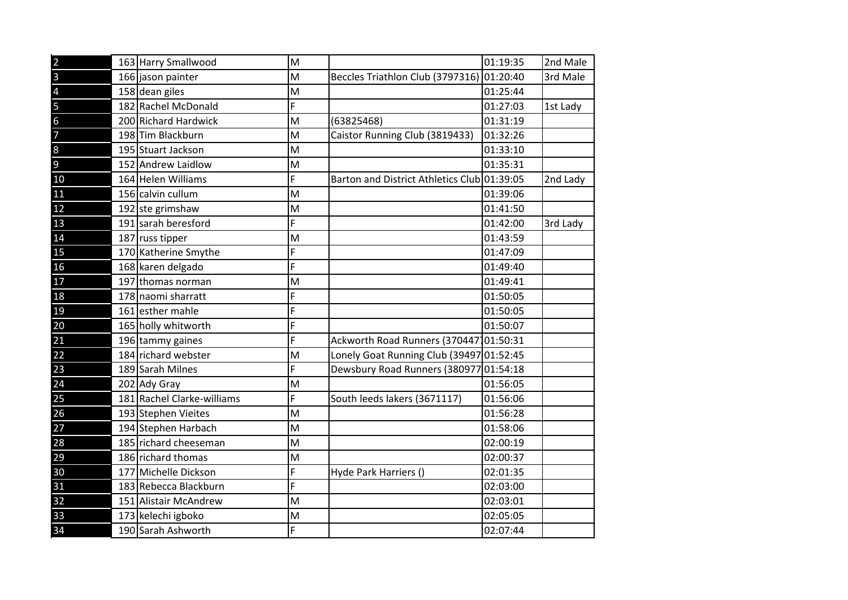| $\overline{2}$ | 163 Harry Smallwood        | M |                                             | 01:19:35 | 2nd Male |
|----------------|----------------------------|---|---------------------------------------------|----------|----------|
| $\overline{3}$ | 166 jason painter          | M | Beccles Triathlon Club (3797316) 01:20:40   |          | 3rd Male |
| $\overline{4}$ | 158 dean giles             | M |                                             | 01:25:44 |          |
| 5              | 182 Rachel McDonald        | F |                                             | 01:27:03 | 1st Lady |
| $\overline{6}$ | 200 Richard Hardwick       | M | (63825468)                                  | 01:31:19 |          |
| $\overline{7}$ | 198 Tim Blackburn          | M | Caistor Running Club (3819433)              | 01:32:26 |          |
| $\,8\,$        | 195 Stuart Jackson         | M |                                             | 01:33:10 |          |
| $\overline{9}$ | 152 Andrew Laidlow         | M |                                             | 01:35:31 |          |
| 10             | 164 Helen Williams         | F | Barton and District Athletics Club 01:39:05 |          | 2nd Lady |
| 11             | 156 calvin cullum          | M |                                             | 01:39:06 |          |
| 12             | 192 ste grimshaw           | M |                                             | 01:41:50 |          |
| 13             | 191 sarah beresford        | F |                                             | 01:42:00 | 3rd Lady |
| 14             | 187 russ tipper            | M |                                             | 01:43:59 |          |
| 15             | 170 Katherine Smythe       | F |                                             | 01:47:09 |          |
| 16             | 168 karen delgado          | F |                                             | 01:49:40 |          |
| 17             | 197 thomas norman          | M |                                             | 01:49:41 |          |
| 18             | 178 naomi sharratt         | F |                                             | 01:50:05 |          |
| 19             | 161 esther mahle           | F |                                             | 01:50:05 |          |
| 20             | 165 holly whitworth        | F |                                             | 01:50:07 |          |
| 21             | 196 tammy gaines           | F | Ackworth Road Runners (370447101:50:31      |          |          |
| 22             | 184 richard webster        | M | Lonely Goat Running Club (39497 01:52:45    |          |          |
| 23             | 189 Sarah Milnes           | F | Dewsbury Road Runners (38097701:54:18       |          |          |
| 24             | 202 Ady Gray               | M |                                             | 01:56:05 |          |
| 25             | 181 Rachel Clarke-williams | F | South leeds lakers (3671117)                | 01:56:06 |          |
| 26             | 193 Stephen Vieites        | M |                                             | 01:56:28 |          |
| 27             | 194 Stephen Harbach        | M |                                             | 01:58:06 |          |
| 28             | 185 richard cheeseman      | M |                                             | 02:00:19 |          |
| 29             | 186 richard thomas         | M |                                             | 02:00:37 |          |
| 30             | 177 Michelle Dickson       | F | Hyde Park Harriers ()                       | 02:01:35 |          |
| 31             | 183 Rebecca Blackburn      | F |                                             | 02:03:00 |          |
| 32             | 151 Alistair McAndrew      | M |                                             | 02:03:01 |          |
| 33             | 173 kelechi igboko         | M |                                             | 02:05:05 |          |
| 34             | 190 Sarah Ashworth         | F |                                             | 02:07:44 |          |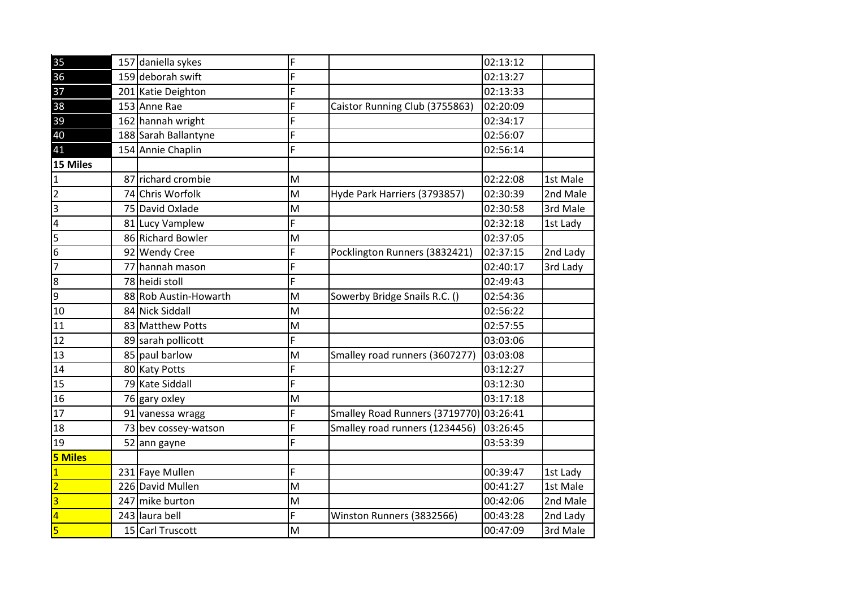| 35                      | 157 daniella sykes    | F                                                                                     |                                | 02:13:12 |          |
|-------------------------|-----------------------|---------------------------------------------------------------------------------------|--------------------------------|----------|----------|
| 36                      | 159 deborah swift     | F                                                                                     |                                | 02:13:27 |          |
| 37                      | 201 Katie Deighton    | F                                                                                     |                                | 02:13:33 |          |
| 38                      | 153 Anne Rae          | F                                                                                     | Caistor Running Club (3755863) | 02:20:09 |          |
| 39                      | 162 hannah wright     | F                                                                                     |                                | 02:34:17 |          |
| 40                      | 188 Sarah Ballantyne  | F                                                                                     |                                | 02:56:07 |          |
| 41                      | 154 Annie Chaplin     | F                                                                                     |                                | 02:56:14 |          |
| 15 Miles                |                       |                                                                                       |                                |          |          |
| $\mathbf{1}$            | 87 richard crombie    | M                                                                                     |                                | 02:22:08 | 1st Male |
| $\overline{2}$          | 74 Chris Worfolk      | M                                                                                     | Hyde Park Harriers (3793857)   | 02:30:39 | 2nd Male |
| $\vert$ 3               | 75 David Oxlade       | M                                                                                     |                                | 02:30:58 | 3rd Male |
| $\overline{4}$          | 81 Lucy Vamplew       | F                                                                                     |                                | 02:32:18 | 1st Lady |
| 5                       | 86 Richard Bowler     | M                                                                                     |                                | 02:37:05 |          |
| $6\overline{6}$         | 92 Wendy Cree         | F                                                                                     | Pocklington Runners (3832421)  | 02:37:15 | 2nd Lady |
| $\overline{7}$          | 77 hannah mason       | F                                                                                     |                                | 02:40:17 | 3rd Lady |
| $\overline{\infty}$     | 78 heidi stoll        | F                                                                                     |                                | 02:49:43 |          |
| $\overline{9}$          | 88 Rob Austin-Howarth | $\mathsf{M}% _{T}=\mathsf{M}_{T}\!\left( a,b\right) ,\ \mathsf{M}_{T}=\mathsf{M}_{T}$ | Sowerby Bridge Snails R.C. ()  | 02:54:36 |          |
| 10                      | 84 Nick Siddall       | M                                                                                     |                                | 02:56:22 |          |
| 11                      | 83 Matthew Potts      | M                                                                                     |                                | 02:57:55 |          |
| 12                      | 89 sarah pollicott    | F                                                                                     |                                | 03:03:06 |          |
| 13                      | 85 paul barlow        | M                                                                                     | Smalley road runners (3607277) | 03:03:08 |          |
| 14                      | 80 Katy Potts         | F                                                                                     |                                | 03:12:27 |          |
| 15                      | 79 Kate Siddall       | F                                                                                     |                                | 03:12:30 |          |
| 16                      | 76 gary oxley         | $\mathsf{M}% _{T}=\mathsf{M}_{T}\!\left( a,b\right) ,\ \mathsf{M}_{T}=\mathsf{M}_{T}$ |                                | 03:17:18 |          |
| $\overline{17}$         | 91 vanessa wragg      | F                                                                                     | Smalley Road Runners (3719770) | 03:26:41 |          |
| 18                      | 73 bev cossey-watson  | F                                                                                     | Smalley road runners (1234456) | 03:26:45 |          |
| 19                      | 52 ann gayne          | F                                                                                     |                                | 03:53:39 |          |
| <b>5 Miles</b>          |                       |                                                                                       |                                |          |          |
| $\overline{1}$          | 231 Faye Mullen       | F                                                                                     |                                | 00:39:47 | 1st Lady |
| $\overline{2}$          | 226 David Mullen      | M                                                                                     |                                | 00:41:27 | 1st Male |
| $\overline{\mathbf{3}}$ | 247 mike burton       | M                                                                                     |                                | 00:42:06 | 2nd Male |
| $\overline{4}$          | 243 laura bell        | F                                                                                     | Winston Runners (3832566)      | 00:43:28 | 2nd Lady |
| 5                       | 15 Carl Truscott      | M                                                                                     |                                | 00:47:09 | 3rd Male |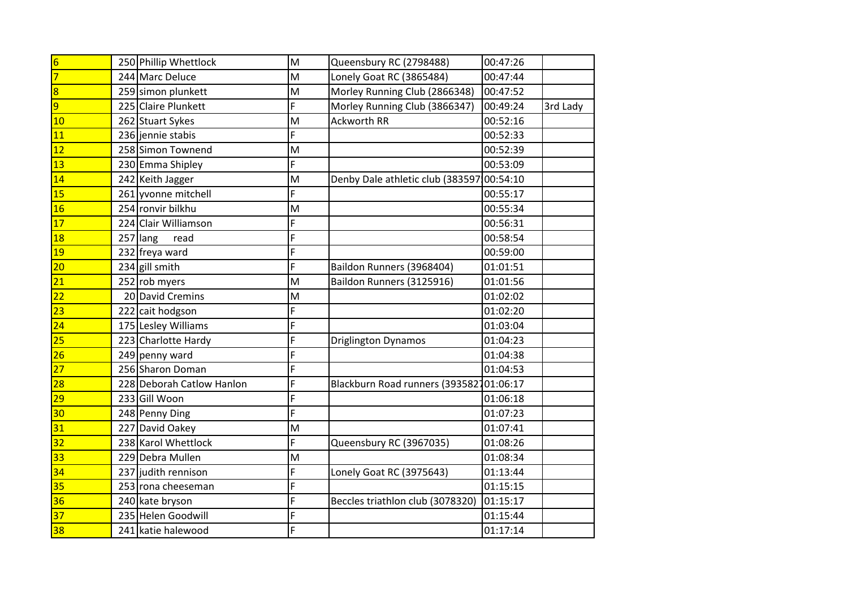| $6\overline{6}$         |          | 250 Phillip Whettlock     | M                                                                                     | Queensbury RC (2798488)                   | 00:47:26 |          |
|-------------------------|----------|---------------------------|---------------------------------------------------------------------------------------|-------------------------------------------|----------|----------|
| $\overline{7}$          |          | 244 Marc Deluce           | M                                                                                     | Lonely Goat RC (3865484)                  | 00:47:44 |          |
| $\overline{\mathbf{8}}$ |          | 259 simon plunkett        | M                                                                                     | Morley Running Club (2866348)             | 00:47:52 |          |
| $\overline{9}$          |          | 225 Claire Plunkett       | F                                                                                     | Morley Running Club (3866347)             | 00:49:24 | 3rd Lady |
| 10                      |          | 262 Stuart Sykes          | M                                                                                     | <b>Ackworth RR</b>                        | 00:52:16 |          |
| <b>11</b>               |          | 236 jennie stabis         | F                                                                                     |                                           | 00:52:33 |          |
| 12                      |          | 258 Simon Townend         | M                                                                                     |                                           | 00:52:39 |          |
| 13                      |          | 230 Emma Shipley          | F                                                                                     |                                           | 00:53:09 |          |
| 14                      |          | 242 Keith Jagger          | M                                                                                     | Denby Dale athletic club (383597 00:54:10 |          |          |
| 15                      |          | 261 yvonne mitchell       | F                                                                                     |                                           | 00:55:17 |          |
| 16                      |          | 254 ronvir bilkhu         | $\mathsf{M}% _{T}=\mathsf{M}_{T}\!\left( a,b\right) ,\ \mathsf{M}_{T}=\mathsf{M}_{T}$ |                                           | 00:55:34 |          |
| 17                      |          | 224 Clair Williamson      | F                                                                                     |                                           | 00:56:31 |          |
| $\overline{18}$         | 257 lang | read                      | F                                                                                     |                                           | 00:58:54 |          |
| 19                      |          | 232 freya ward            | F                                                                                     |                                           | 00:59:00 |          |
| $ 20\rangle$            |          | 234 gill smith            | F                                                                                     | Baildon Runners (3968404)                 | 01:01:51 |          |
| 21                      |          | 252 rob myers             | M                                                                                     | Baildon Runners (3125916)                 | 01:01:56 |          |
| 22                      |          | 20 David Cremins          | M                                                                                     |                                           | 01:02:02 |          |
| $\overline{23}$         |          | 222 cait hodgson          | F                                                                                     |                                           | 01:02:20 |          |
| 24                      |          | 175 Lesley Williams       | F                                                                                     |                                           | 01:03:04 |          |
| 25                      |          | 223 Charlotte Hardy       | F                                                                                     | <b>Driglington Dynamos</b>                | 01:04:23 |          |
| 26                      |          | 249 penny ward            | F                                                                                     |                                           | 01:04:38 |          |
| 27                      |          | 256 Sharon Doman          | F                                                                                     |                                           | 01:04:53 |          |
| 28                      |          | 228 Deborah Catlow Hanlon | F                                                                                     | Blackburn Road runners (393582101:06:17   |          |          |
| 29                      |          | 233 Gill Woon             | F                                                                                     |                                           | 01:06:18 |          |
| 30                      |          | 248 Penny Ding            | F                                                                                     |                                           | 01:07:23 |          |
| 31                      |          | 227 David Oakey           | M                                                                                     |                                           | 01:07:41 |          |
| 32                      |          | 238 Karol Whettlock       | F                                                                                     | Queensbury RC (3967035)                   | 01:08:26 |          |
| 33                      |          | 229 Debra Mullen          | ${\sf M}$                                                                             |                                           | 01:08:34 |          |
| 34                      |          | 237 judith rennison       | F                                                                                     | Lonely Goat RC (3975643)                  | 01:13:44 |          |
| 35                      |          | 253 rona cheeseman        | F                                                                                     |                                           | 01:15:15 |          |
| 36                      |          | 240 kate bryson           | F                                                                                     | Beccles triathlon club (3078320)          | 01:15:17 |          |
| 37                      |          | 235 Helen Goodwill        | F                                                                                     |                                           | 01:15:44 |          |
| 38                      |          | 241 katie halewood        | F                                                                                     |                                           | 01:17:14 |          |
|                         |          |                           |                                                                                       |                                           |          |          |